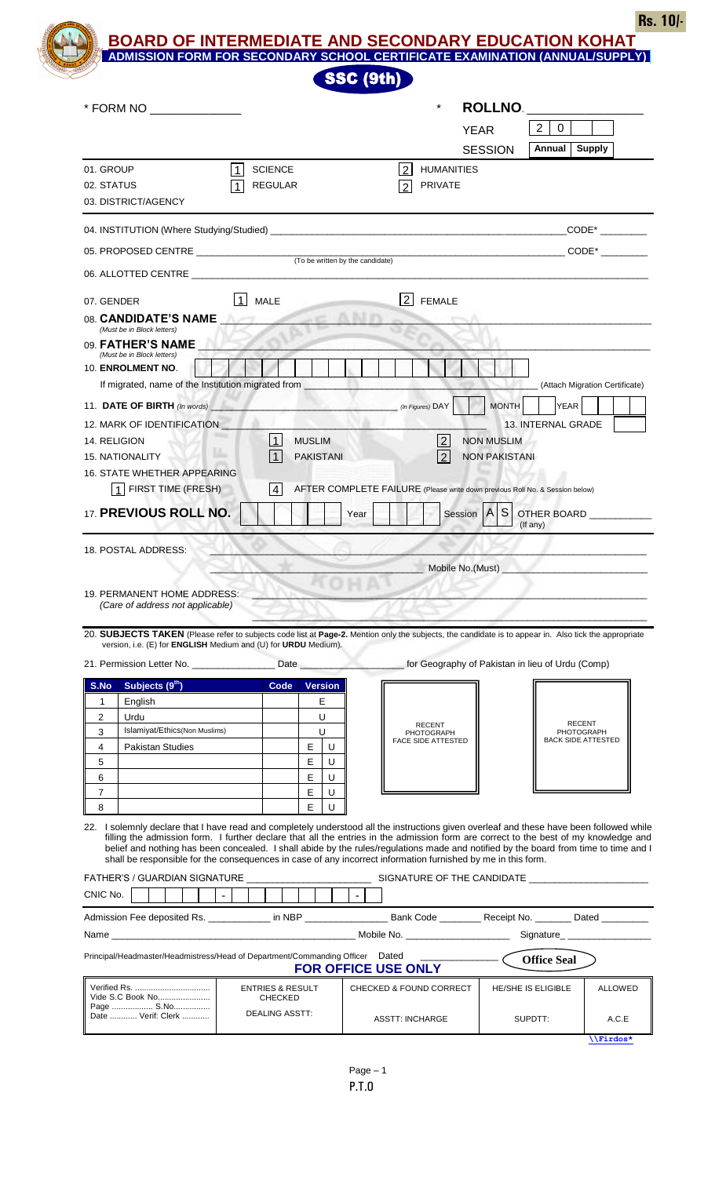**Rs. 10/-**

**BOARD OF INTERMEDIATE AND SECONDARY EDUCATION KOHAT**

|                     | * FORM NO ______________                                                      |              |                                               |                                  | $\star$                                                                                                                                                                                                                                                                          | <b>ROLLNO.</b>       |                                   |                                         |
|---------------------|-------------------------------------------------------------------------------|--------------|-----------------------------------------------|----------------------------------|----------------------------------------------------------------------------------------------------------------------------------------------------------------------------------------------------------------------------------------------------------------------------------|----------------------|-----------------------------------|-----------------------------------------|
|                     |                                                                               |              |                                               |                                  |                                                                                                                                                                                                                                                                                  | <b>YEAR</b>          | $\Omega$<br>2                     |                                         |
|                     |                                                                               |              |                                               |                                  |                                                                                                                                                                                                                                                                                  | <b>SESSION</b>       | <b>Annual</b> Supply              |                                         |
| 01. GROUP           |                                                                               |              | <b>SCIENCE</b>                                |                                  | 2<br><b>HUMANITIES</b>                                                                                                                                                                                                                                                           |                      |                                   |                                         |
| 02. STATUS          |                                                                               |              | <b>REGULAR</b>                                |                                  | <b>PRIVATE</b><br>$\overline{2}$                                                                                                                                                                                                                                                 |                      |                                   |                                         |
|                     | 03. DISTRICT/AGENCY                                                           |              |                                               |                                  |                                                                                                                                                                                                                                                                                  |                      |                                   |                                         |
|                     |                                                                               |              |                                               |                                  |                                                                                                                                                                                                                                                                                  |                      |                                   |                                         |
|                     | 05. PROPOSED CENTRE ____________________                                      |              |                                               |                                  |                                                                                                                                                                                                                                                                                  |                      |                                   | $CODE*$                                 |
|                     | 06. ALLOTTED CENTRE ____________                                              |              |                                               | (To be written by the candidate) |                                                                                                                                                                                                                                                                                  |                      |                                   |                                         |
|                     |                                                                               |              |                                               |                                  |                                                                                                                                                                                                                                                                                  |                      |                                   |                                         |
|                     | 07. GENDER                                                                    | $\mathbf{1}$ | <b>MALE</b>                                   |                                  | 2 <br><b>FEMALE</b>                                                                                                                                                                                                                                                              |                      |                                   |                                         |
|                     | 08. CANDIDATE'S NAME<br>(Must be in Block letters)                            |              |                                               |                                  |                                                                                                                                                                                                                                                                                  |                      |                                   |                                         |
|                     | 09. FATHER'S NAME                                                             |              |                                               |                                  |                                                                                                                                                                                                                                                                                  |                      |                                   |                                         |
|                     | (Must be in Block letters)<br>10. ENROLMENT NO.                               |              |                                               |                                  |                                                                                                                                                                                                                                                                                  |                      |                                   |                                         |
|                     | If migrated, name of the Institution migrated from _                          |              |                                               |                                  |                                                                                                                                                                                                                                                                                  |                      |                                   | (Attach Migration Certificate)          |
|                     | 11. DATE OF BIRTH (In words)                                                  |              |                                               |                                  | (In Figures) DAY                                                                                                                                                                                                                                                                 | <b>MONTH</b>         | YEAR                              |                                         |
|                     | 12. MARK OF IDENTIFICATION                                                    |              |                                               |                                  |                                                                                                                                                                                                                                                                                  |                      | 13. INTERNAL GRADE                |                                         |
|                     | 14. RELIGION                                                                  |              | $\vert$ 1<br><b>MUSLIM</b>                    |                                  | $\sqrt{2}$                                                                                                                                                                                                                                                                       | <b>NON MUSLIM</b>    |                                   |                                         |
|                     | valle<br><b>15. NATIONALITY</b>                                               |              | $\vert$ 1<br><b>PAKISTANI</b>                 |                                  | <u> 2</u>                                                                                                                                                                                                                                                                        | <b>NON PAKISTANI</b> |                                   |                                         |
|                     | <b>16. STATE WHETHER APPEARING</b>                                            |              |                                               |                                  |                                                                                                                                                                                                                                                                                  |                      |                                   |                                         |
|                     | 1 FIRST TIME (FRESH)                                                          |              | 4                                             |                                  | AFTER COMPLETE FAILURE (Please write down previous Roll No. & Session below)                                                                                                                                                                                                     |                      |                                   |                                         |
|                     |                                                                               |              |                                               |                                  |                                                                                                                                                                                                                                                                                  |                      |                                   |                                         |
|                     | 17. PREVIOUS ROLL NO.                                                         |              |                                               | Year                             |                                                                                                                                                                                                                                                                                  | S<br>Session   A     | OTHER BOARD <b>SAMPLE SERVICE</b> |                                         |
|                     | 18. POSTAL ADDRESS:                                                           |              |                                               |                                  | _ Mobile No.(Must) _                                                                                                                                                                                                                                                             |                      | (If any)                          |                                         |
|                     | 19. PERMANENT HOME ADDRESS:<br>(Care of address not applicable)               |              |                                               |                                  |                                                                                                                                                                                                                                                                                  |                      |                                   |                                         |
|                     |                                                                               |              |                                               |                                  |                                                                                                                                                                                                                                                                                  |                      |                                   |                                         |
|                     | version, i.e. (E) for <b>ENGLISH</b> Medium and (U) for <b>URDU</b> Medium).  |              |                                               |                                  | 20. SUBJECTS TAKEN (Please refer to subjects code list at Page-2. Mention only the subjects, the candidate is to appear in. Also tick the appropriate                                                                                                                            |                      |                                   |                                         |
|                     |                                                                               |              |                                               |                                  |                                                                                                                                                                                                                                                                                  |                      |                                   |                                         |
|                     | Subjects (9 <sup>th</sup> )                                                   |              | <b>Code</b>                                   | <b>Version</b>                   |                                                                                                                                                                                                                                                                                  |                      |                                   |                                         |
| 1                   | English                                                                       |              |                                               | E                                |                                                                                                                                                                                                                                                                                  |                      |                                   |                                         |
| $\overline{2}$      | Urdu                                                                          |              |                                               | U                                | <b>RECENT</b>                                                                                                                                                                                                                                                                    |                      |                                   | <b>RECENT</b>                           |
| 3                   | Islamiyat/Ethics(Non Muslims)                                                 |              |                                               | U                                | PHOTOGRAPH<br><b>FACE SIDE ATTESTED</b>                                                                                                                                                                                                                                          |                      |                                   | PHOTOGRAPH<br><b>BACK SIDE ATTESTED</b> |
| 4                   | <b>Pakistan Studies</b>                                                       |              | Е                                             | U                                |                                                                                                                                                                                                                                                                                  |                      |                                   |                                         |
| 5                   |                                                                               |              | E                                             | U                                |                                                                                                                                                                                                                                                                                  |                      |                                   |                                         |
| 6                   |                                                                               |              | Е                                             | U<br>U                           |                                                                                                                                                                                                                                                                                  |                      |                                   |                                         |
| $\overline{7}$<br>8 |                                                                               |              | E<br>E                                        | U                                |                                                                                                                                                                                                                                                                                  |                      |                                   |                                         |
|                     |                                                                               |              |                                               |                                  |                                                                                                                                                                                                                                                                                  |                      |                                   |                                         |
|                     |                                                                               |              |                                               |                                  | 22. I solemnly declare that I have read and completely understood all the instructions given overleaf and these have been followed while<br>filling the admission form. I further declare that all the entries in the admission form are correct to the best of my knowledge and |                      |                                   |                                         |
|                     |                                                                               |              |                                               |                                  | belief and nothing has been concealed. I shall abide by the rules/regulations made and notified by the board from time to time and I                                                                                                                                             |                      |                                   |                                         |
|                     |                                                                               |              |                                               |                                  | shall be responsible for the consequences in case of any incorrect information furnished by me in this form.                                                                                                                                                                     |                      |                                   |                                         |
|                     |                                                                               |              |                                               |                                  |                                                                                                                                                                                                                                                                                  |                      |                                   |                                         |
|                     |                                                                               | $\lceil$     |                                               | $\sim$                           |                                                                                                                                                                                                                                                                                  |                      |                                   |                                         |
|                     |                                                                               |              |                                               |                                  | Admission Fee deposited Rs. _____________ in NBP ________________________Bank Code __________Receipt No. _________Dated __________                                                                                                                                               |                      |                                   |                                         |
|                     |                                                                               |              |                                               |                                  |                                                                                                                                                                                                                                                                                  |                      | Signature_____________________    |                                         |
|                     | Principal/Headmaster/Headmistress/Head of Department/Commanding Officer Dated |              |                                               |                                  |                                                                                                                                                                                                                                                                                  |                      | <b>Office Seal</b>                |                                         |
| S.No                |                                                                               |              |                                               |                                  | <b>FOR OFFICE USE ONLY</b>                                                                                                                                                                                                                                                       |                      |                                   |                                         |
| CNIC No.            | Vide S.C Book No                                                              |              | <b>ENTRIES &amp; RESULT</b><br><b>CHECKED</b> |                                  | <b>CHECKED &amp; FOUND CORRECT</b>                                                                                                                                                                                                                                               |                      | <b>HE/SHE IS ELIGIBLE</b>         | <b>ALLOWED</b>                          |

**[\\Firdos\\*](file:\\Firdos*) .**